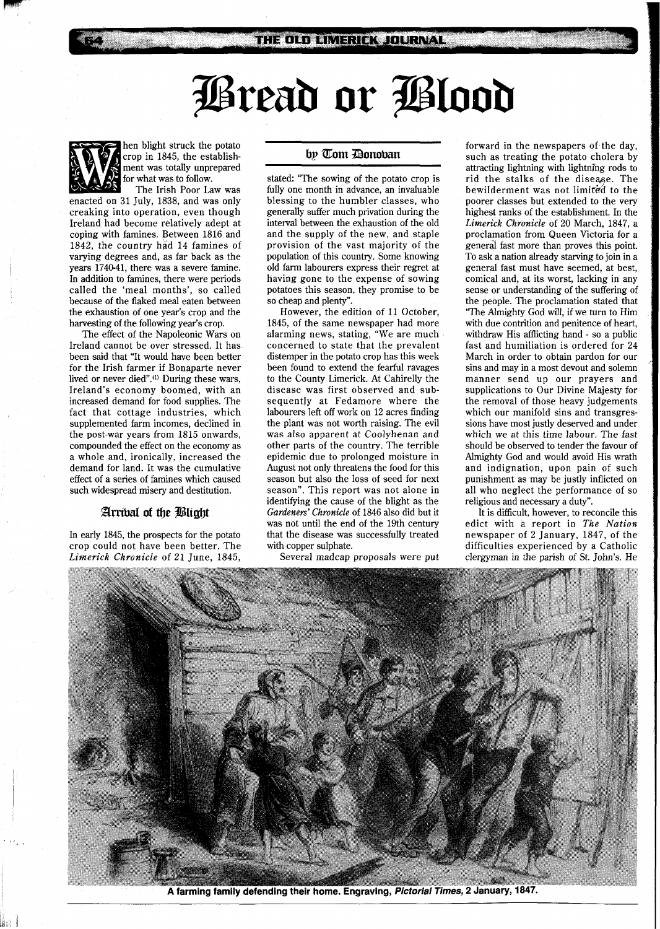# Øread or Ølood



hen blight struck the potato crop in 1845, the establishment was totally unprepared for what was to follow. The Irish Poor Law was

enacted on 31 July, 1838, and was only creaking into operation, even though Ireland had become relatively adept at coping with famines. Between 1816 and 1842, the country had 14 famines of varying degrees and, as far back as the years 1740-41, there was a severe famine. In addition to famines, there were periods called the 'meal months', so called because of the flaked meal eaten between the exhaustion of one year's crop and the harvesting of the following year's crop.

The effect of the Napoleonic Wars on Ireland cannot be over stressed. It has been said that "It would have been better for the Irish farmer if Bonaparte never lived or never died".(') During these wars, Ireland's economy boomed, with an increased demand for food supplies. The fact that cottage industries, which supplemented farm incomes, declined in the post-war years from 1815 onwards, compounded the effect on the economy as a whole and, ironically, increased the demand for land. It was the cumulative effect of a series of famines which caused such widespread misery and destitution.

# Arrival of the Blight

In early 1845, the prospects for the potato crop could not have been better. The *Limerick Chronicle* of 21 June, 1845,

## by Tom Donoban

stated: "The sowing of the potato crop is fully one month in advance, an invaluable blessing to the humbler classes, who generally suffer much privation during the interval between the exhaustion of the old and the supply of the new, and staple provision of the vast majority of the population of this country. Some knowing old farm labourers express their regret at having gone to the expense of sowing potatoes this season, they promise to be so cheap and plenty".

However, the edition of 11 October, 1845, of the same newspaper had more alarming news, stating, "We are much concerned to state that the prevalent distemper in the potato crop has this week been found to extend the fearful ravages to the County Limerick. At Cahirelly the disease was first observed and subsequently at Fedamore where the labourers left off work on 12 acres finding the plant was not worth raising. The evil was also apparent at Coolyhenan and other parts of the country. The terrible epidemic due to prolonged moisture in August not only threatens the food for this season but also the loss of seed for next season". This report was not alone in identifying the cause of the blight as the *Gardeners' Chronicle* of 1846 also did but it was not until the end of the 19th century that the disease was successfully treated with copper sulphate.

Several madcap proposals were put

forward in the newspapers of the day, such as treating the potato cholera by attracting lightning with lightning rods to rid the stalks of the diseqe. The bewilderment was not limited to the poorer classes but extended to the very highest ranks of the establishment. In the *Limerick Chronicle* of 20 March, 1847, a proclamation from Queen Victoria for a general fast more than proves this point. To ask a nation already starving to join in a general fast must have seemed, at best, comical and, at its worst, lacking in any sense or understanding of the suffering of the people. The proclamation stated that "The Almighty God will, if we turn to Him with due contrition and penitence of heart, withdraw His afflicting hand - so a public fast and humiliation is ordered for 24 March in order to obtain pardon for our sins and may in a most devout and solemn manner send up our prayers and supplications to Our Divine Majesty for the removal of those heavy judgements which our manifold sins and transgressions have most justly deserved and under which we at this time labour. The fast should be observed to tender the favour of Almighty God and would avoid His wrath and indignation, upon pain of such punishment as may be justly inflicted on all who neglect the performance of so religious and necessary a duty".

It is difficult, however, to reconcile this edict with a report in *The Nation*  newspaper of 2 January, 1847, of the difficulties experienced by a Catholic clergyman in the parish of St. John's. He



A farming family defending their home. Engraving, Pictorial Times, 2 January, 1847.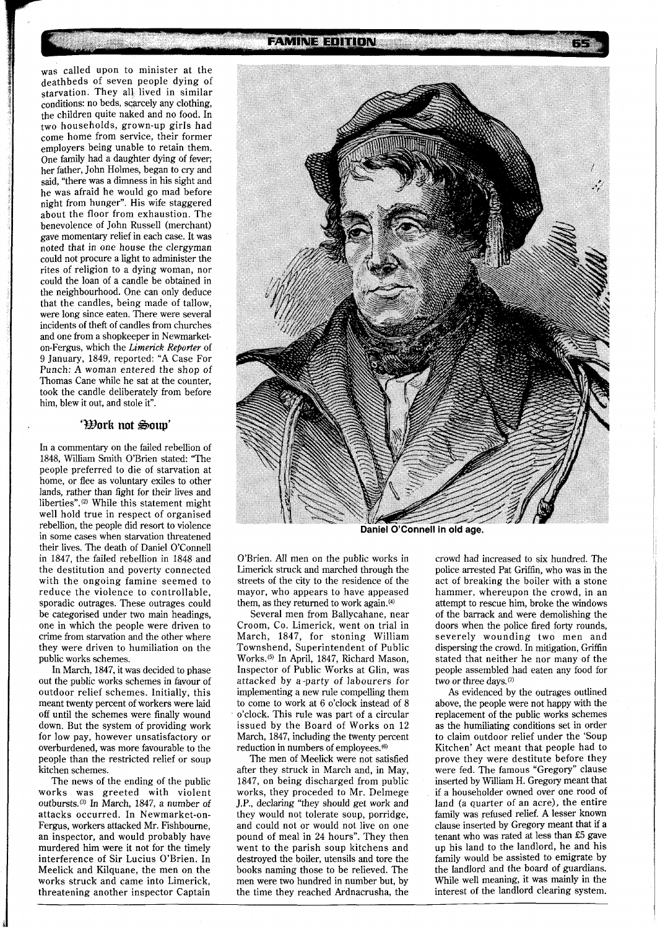was called upon to minister at the deathbeds of seven people dying of starvation. They all lived in similar conditions: no beds, scarcely any clothing, the children quite naked and no food. In two households, grown-up girls had come home from service, their former employers being unable to retain them. One family had a daughter dying of fever; her father, John Holmes, began to cry and said, "there was a dimness in his sight and he was afraid he would go mad before night from hunger". His wife staggered about the floor from exhaustion. The benevolence of John Russell (merchant) gave momentary relief in each case. It was noted that in one house the clergyman could not procure a light to administer the rites of religion to a dying woman, nor could the loan of a candle be obtained in the neighbourhood. One can only deduce that the candles, being made of tallow, were long since eaten. There were several incidents of theft of candles from churches and one from a shopkeeper in Newmarketon-Fergus, which the *Limerick* Reporter of 9 January, 1849, reported: "A Case For Punch: A woman entered the shop of Thomas Cane while he sat at the counter,

#### 'Work not Soup'

took the candle deliberately from before

him, blew it out, and stole it".

In a commentary on the failed rebellion of 1848, William Smith O'Brien stated: "The people preferred to die of starvation at home, or flee as voluntary exiles to other lands, rather than fight for their lives and liberties".<sup>(2)</sup> While this statement might well hold true in respect of organised rebellion, the people did resort to violence in some cases when starvation threatened their lives. The death of Daniel O'Connell in 1847, the failed rebellion in 1848 and the destitution and poverty connected with the ongoing famine seemed to reduce the violence to controllable, sporadic outrages. These outrages could be categorised under two main headings, one in which the people were driven to crime from starvation and the other where they were driven to humiliation on the public works schemes.

In March, 1847, it was decided to phase out the public works schemes in favour of outdoor relief schemes. Initially, this meant twenty percent of workers were laid off until the schemes were finally wound down. But the system of providing work for low pay, however unsatisfactory or overburdened, was more favourable to the people than the restricted relief or soup kitchen schemes.

The news of the ending of the public works was greeted with violent outbursts.@) In March, 1847, a number of attacks occurred. In Newmarket-on-Fergus, workers attacked Mr. Fishbourne, an inspector, and would probably have murdered him were it not for the timely interference of Sir Lucius O'Brien. In Meelick and Kilquane, the men on the works struck and came into Limerick, threatening another inspector Captain

**FAMINE EDITION** 



**Daniel O'Connell in old age.** 

O'Brien. All men on the public works in Limerick struck and marched through the streets of the city to the residence of the mayor, who appears to have appeased them, as they returned to work again. $(4)$ 

Several men from Ballycahane, near Croom, Co. Limerick, went on trial in March, 1847, for stoning William Townshend, Superintendent of Public Works.(5) In April, 1847, Richard Mason, Inspector of Public Works at Glin, was attacked by a-party of labourers for implementing a new rule compelling them to come to work at 6 o'clock instead of 8 o'clock. This rule was part of a circular issued by the Board of Works on 12 March, 1847, including the twenty percent reduction in numbers of employees.@)

The men of Meelick were not satisfied after they struck in March and, in May, 1847, on being discharged from public works, they proceded to Mr. Delmege J.P., declaring "they should get work and they would not tolerate soup, porridge, and could not or would not live on one pound of meal in 24 hours". They then went to the parish soup kitchens and destroyed the boiler, utensils and tore the books naming those to be relieved. The men were two hundred in number but, by the time they reached Ardnacrusha, the crowd had increased to six hundred. The police arrested Pat Griffin, who was in the act of breaking the boiler with a stone hammer, whereupon the crowd, in an attempt to rescue him, broke the windows of the barrack and were demolishing the doors when the police fired forty rounds, severely wounding two men and dispersing the crowd. In mitigation, Griffin stated that neither he nor many of the people assembled had eaten any food for two or three days.<sup>(7)</sup>

As evidenced by the outrages outlined above, the people were not happy with the replacement of the public works schemes as the humiliating conditions set in order to claim outdoor relief under the 'Soup Kitchen' Act meant that people had to prove they were destitute before they were fed. The famous "Gregory" clause inserted by William H. Gregory meant that if a householder owned over one rood of land (a quarter of an acre), the entire family was refused relief. A lesser known clause inserted by Gregory meant that if a tenant who was rated at less than *E5* gave up his land to the landlord, he and his family would be assisted to emigrate by the landlord and the board of guardians. While well meaning, it was mainly in the interest of the landlord clearing system.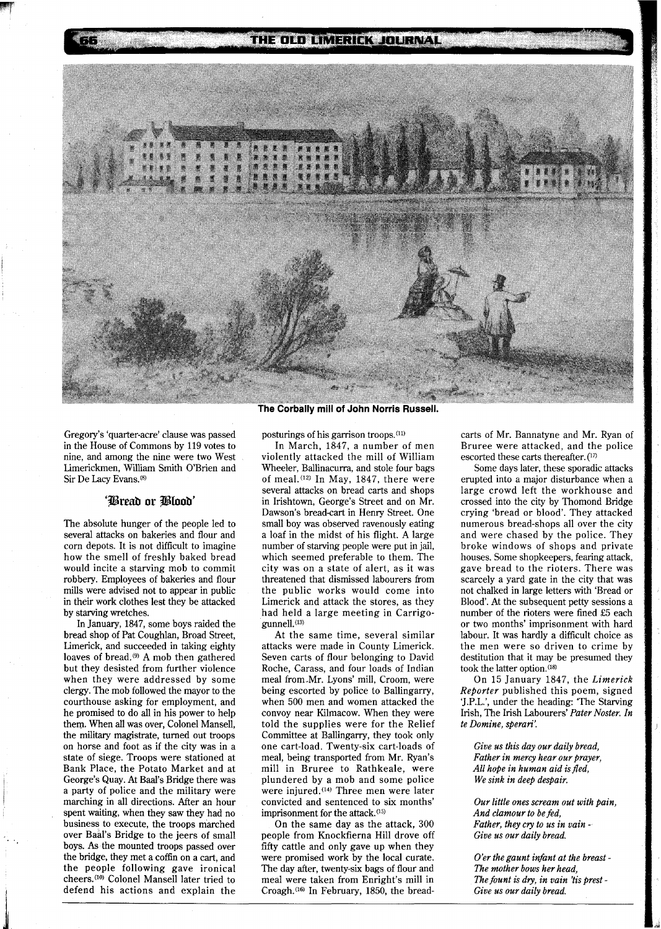THE OLD LIMERICK JOURNAL



Gregory's 'quarter-acre' clause was passed in the House of Commons by 119 votes to nine, and among the nine were two West Limerickmen, William Smith O'Brien and Sir De Lacy Evans.<sup>(8)</sup>

 $\pi$ 

## 'Bread or Blood'

The absolute hunger of the people led to several attacks on bakeries and flour and corn depots. It is not difficult to imagine how the smell of freshly baked bread would incite a starving mob to commit robbery. Employees of bakeries and flour mills were advised not to appear in public in their work clothes lest they be attacked by starving wretches.

In January, 1847, some boys raided the bread shop of Pat Coughlan, Broad Street, Limerick, and succeeded in taking eighty loaves of bread.<sup>(9)</sup> A mob then gathered but they desisted from further violence when they were addressed by some clergy. The mob followed the mayor to the courthouse asking for employment, and he promised to do all in his power to help them. When all was over, Colonel Mansell, the military magistrate, turned out troops on horse and foot as if the city was in a state of siege. Troops were stationed at Bank Place, the Potato Market and at <sup>I</sup>George's Quay. At Baal's Bridge there was a party of police and the military were marching in all directions. After an hour spent waiting, when they saw they had no business to execute, the troops marched over Baal's Bridge to the jeers of small boys. **As** the mounted troops passed over the bridge, they met a coffin on a cart, and the people following gave ironical cheers.<sup>(10)</sup> Colonel Mansell later tried to defend his actions and explain the The Corbally mill of John Norris Russell.

posturings of his garrison troops.<sup>(11)</sup>

In March, 1847, a number of men violently attacked the mill of William Wheeler, Ballinacurra, and stole four bags of meal.<sup>(12)</sup> In May, 1847, there were several attacks on bread carts and shops in Irishtown, George's Street and on Mr. Dawson's bread-cart in Henry Street. One small boy was observed ravenously eating a loaf in the midst of his flight. **A** large number of starving people were put in jail, which seemed preferable to them. The city was on a state of alert, as it was threatened that dismissed labourers from the public works would come into Limerick and attack the stores, as they had held a large meeting in Carrigogunnell.(13)

At the same time, several similar attacks were made in County Limerick. Seven carts of flour belonging to David Roche, Carass, and four loads of Indian meal from-Mr. Lyons' mill, Croom, were being escorted by police to Ballingarry, when 500 men and women attacked the convoy near Kilmacow. When they were told the supplies were for the Relief Committee at Ballingarry, they took only one cart-load. Twenty-six cart-loads of meal, being transported from Mr. Ryan's mill in Bruree to Rathkeale, were plundered by a mob and some police were injured.<sup>(14)</sup> Three men were later convicted and sentenced to six months' imprisonment for the attack.<sup>(15)</sup>

On the same day as the attack, 300 people from Knockfierna Hill drove off fifty cattle and only gave up when they were promised work by the local curate. The day after, twenty-six bags of flour and meal were taken from Enright's mill in Croagh.<sup>(16)</sup> In February, 1850, the breadcarts of Mr. Bannatyne and Mr. Ryan of Bruree were attacked, and the police escorted these carts thereafter. (17)

Some days later, these sporadic attacks erupted into a major disturbance when a large crowd left the workhouse and crossed into the city by Thomond Bridge crying 'bread or blood'. They attacked numerous bread-shops all over the city and were chased by the police. They broke windows of shops and private houses. Some shopkeepers, fearing attack, gave bread to the rioters. There was scarcely a yard gate in the city that was not chalked in large letters with 'Bread or Blood'. At the subsequent petty sessions a number of the rioters were fined £5 each or two months' imprisonment with hard labour. It was hardly a difficult choice as the men were so driven to crime by destitution that it may be presumed they took the latter option.<sup>(18)</sup>

On 15 January 1847, the *Limerick Reporter* published this poem, signed 'J.P.L.', under the heading: The Starving Irish, The Irish Labourers' *Pater Noster. In te Domine, sperari'.* 

*Give us this day our daily bread, Father in mercy hear our prayer, All hope in human aid is fled, We sink in deep despair.* 

*Our little ones scream out with pain, And clamour to be fed, Father, they cry to us in vain* - *Give us our daily bread.* 

*O'er the gaunt infant at the breast* - *The mother bows her head, The fount is dry, in vain 'tis prest -Give us our daily bread.*